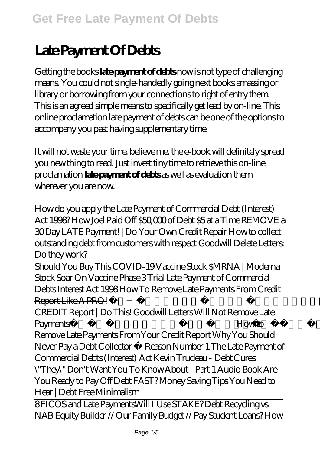## **Late Payment Of Debts**

Getting the books **late payment of debts** now is not type of challenging means. You could not single-handedly going next books amassing or library or borrowing from your connections to right of entry them. This is an agreed simple means to specifically get lead by on-line. This online proclamation late payment of debts can be one of the options to accompany you past having supplementary time.

It will not waste your time. believe me, the e-book will definitely spread you new thing to read. Just invest tiny time to retrieve this on-line proclamation **late payment of debts** as well as evaluation them wherever you are now.

*How do you apply the Late Payment of Commercial Debt (Interest) Act 1998? How Joel Paid Off \$50,000 of Debt \$5 at a Time* REMOVE a 30 Day LATE Payment! | Do Your Own Credit Repair How to collect outstanding debt from customers with respect Goodwill Delete Letters: Do they work?

Should You Buy This COVID-19 Vaccine Stock \$MRNA | Moderna Stock Soar On Vaccine Phase 3 Trial Late Payment of Commercial Debts Interest Act 1998 How To Remove Late Payments From Credit Report Like A PRO!  *REMOVE LATE PAYMENTS From Your CREDIT Report | Do This!* Goodwill Letters Will Not Remove Late Payments❌ | Capital is King Credit is Queen *How to Remove Late Payments From Your Credit Report* Why You Should Never Pay a Debt Collector Reason Number 1 The Late Payment of Commercial Debts (Interest) Act Kevin Trudeau - Debt Cures \"They\" Don't Want You To Know About - Part 1 Audio Book Are You Ready to Pay Off Debt FAST? Money Saving Tips You Need to Hear | Debt Free Minimalism

8 FICOS and Late PaymentsWill I Use STAKE? Debt Recycling vs NAB Equity Builder // Our Family Budget // Pay Student Loans? *How*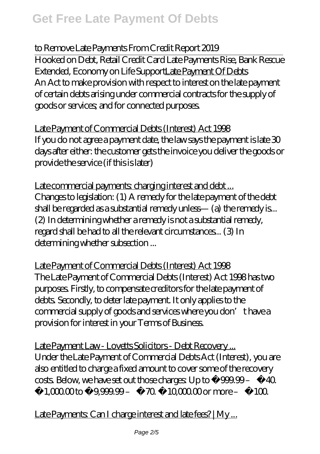## *to Remove Late Payments From Credit Report 2019*

Hooked on Debt, Retail Credit Card Late Payments Rise, Bank Rescue Extended, Economy on Life SupportLate Payment Of Debts An Act to make provision with respect to interest on the late payment of certain debts arising under commercial contracts for the supply of goods or services; and for connected purposes.

Late Payment of Commercial Debts (Interest) Act 1998 If you do not agree a payment date, the law says the payment is late 30 days after either: the customer gets the invoice you deliver the goods or provide the service (if this is later)

Late commercial payments: charging interest and debt ... Changes to legislation: (1) A remedy for the late payment of the debt shall be regarded as a substantial remedy unless— (a) the remedy is... (2) In determining whether a remedy is not a substantial remedy, regard shall be had to all the relevant circumstances... (3) In determining whether subsection ...

Late Payment of Commercial Debts (Interest) Act 1998 The Late Payment of Commercial Debts (Interest) Act 1998 has two purposes. Firstly, to compensate creditors for the late payment of debts. Secondly, to deter late payment. It only applies to the commercial supply of goods and services where you don't have a provision for interest in your Terms of Business.

Late Payment Law - Lovetts Solicitors - Debt Recovery ... Under the Late Payment of Commercial Debts Act (Interest), you are also entitled to charge a fixed amount to cover some of the recovery costs. Below, we have set out those charges: Up to  $f$  999.99 –  $f$  40.  $£1,000$  to  $£999999 - £70. £100000$  or more  $-£100$ .

Late Payments: Can I charge interest and late fees? | My...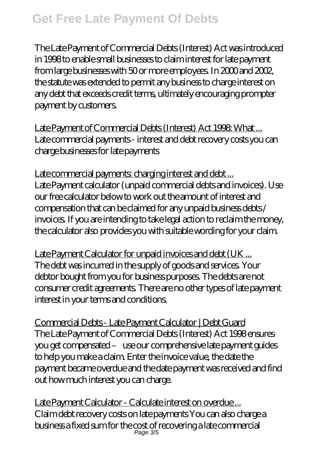## **Get Free Late Payment Of Debts**

The Late Payment of Commercial Debts (Interest) Act was introduced in 1998 to enable small businesses to claim interest for late payment from large businesses with 50 or more employees. In 2000 and 2002, the statute was extended to permit any business to charge interest on any debt that exceeds credit terms, ultimately encouraging prompter payment by customers.

Late Payment of Commercial Debts (Interest) Act 1998 What ... Late commercial payments - interest and debt recovery costs you can charge businesses for late payments

Late commercial payments charging interest and debt ... Late Payment calculator (unpaid commercial debts and invoices). Use our free calculator below to work out the amount of interest and compensation that can be claimed for any unpaid business debts / invoices. If you are intending to take legal action to reclaim the money, the calculator also provides you with suitable wording for your claim.

Late Payment Calculator for unpaid invoices and debt (UK ... The debt was incurred in the supply of goods and services. Your debtor bought from you for business purposes. The debts are not consumer credit agreements. There are no other types of late payment interest in your terms and conditions.

Commercial Debts - Late Payment Calculator | Debt Guard The Late Payment of Commercial Debts (Interest) Act 1998 ensures you get compensated – use our comprehensive late payment guides to help you make a claim. Enter the invoice value, the date the payment became overdue and the date payment was received and find out how much interest you can charge.

Late Payment Calculator - Calculate interest on overdue ... Claim debt recovery costs on late payments You can also charge a business a fixed sum for the cost of recovering a late commercial Page 3/5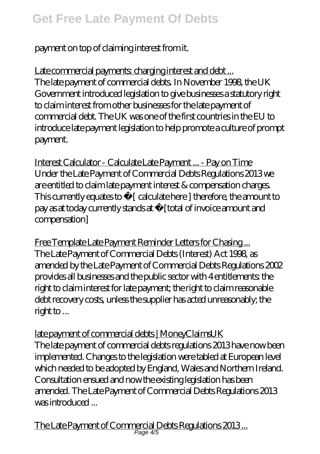payment on top of claiming interest from it.

Late commercial payments: charging interest and debt ... The late payment of commercial debts. In November 1998, the UK Government introduced legislation to give businesses a statutory right to claim interest from other businesses for the late payment of commercial debt. The UK was one of the first countries in the EU to introduce late payment legislation to help promote a culture of prompt payment.

Interest Calculator - Calculate Late Payment ... - Pay on Time Under the Late Payment of Commercial Debts Regulations 2013 we are entitled to claim late payment interest & compensation charges. This currently equates to  $f$  [ calculate here ] therefore, the amount to pay as at today currently stands at  $f$  [total of invoice amount and compensation]

Free Template Late Payment Reminder Letters for Chasing... The Late Payment of Commercial Debts (Interest) Act 1998, as amended by the Late Payment of Commercial Debts Regulations 2002 provides all businesses and the public sector with 4 entitlements: the right to claim interest for late payment; the right to claim reasonable debt recovery costs, unless the supplier has acted unreasonably; the right to ...

late payment of commercial debts | MoneyClaimsUK The late payment of commercial debts regulations 2013 have now been implemented. Changes to the legislation were tabled at European level which needed to be adopted by England, Wales and Northern Ireland. Consultation ensued and now the existing legislation has been amended. The Late Payment of Commercial Debts Regulations 2013 was introduced ...

The Late Payment of Commercial Debts Regulations 2013 ... Page 4/5